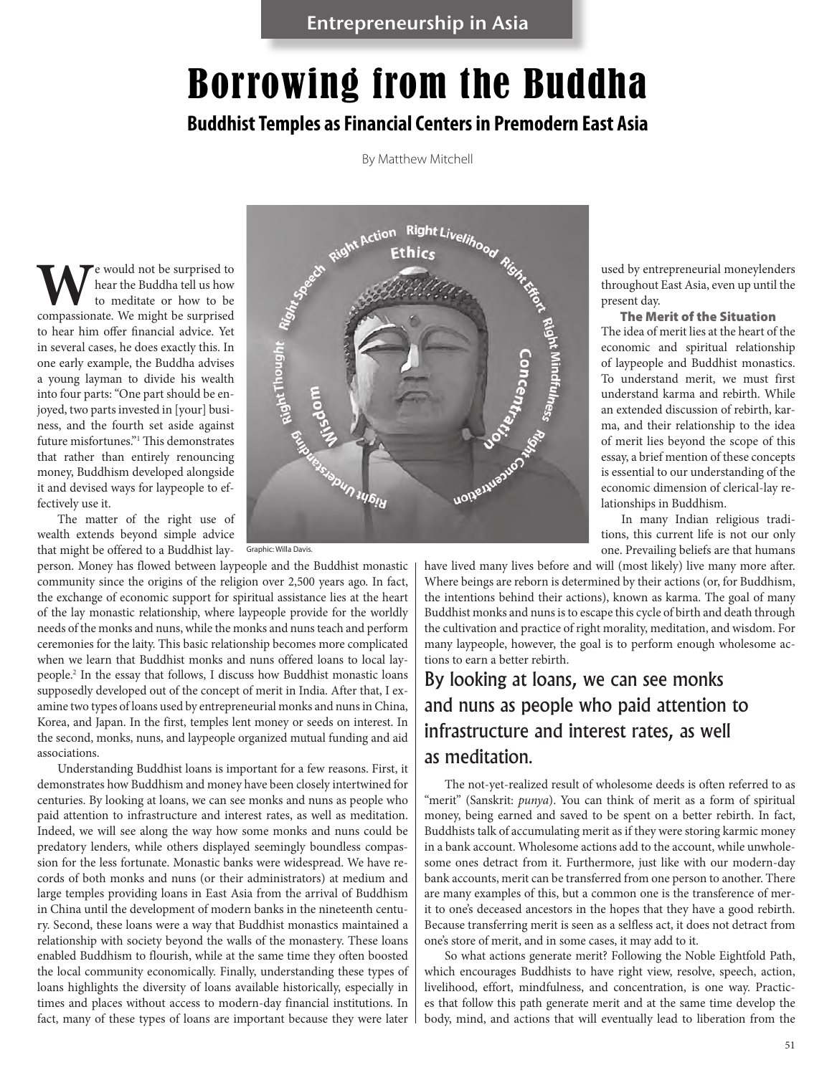# Borrowing from the Buddha

### **Buddhist Temples as Financial Centers in Premodern East Asia**

By Matthew Mitchell

We would not be surprised to<br>
to meditate or how to be<br>
compassionate. We might be surprised hear the Buddha tell us how to meditate or how to be to hear him offer financial advice. Yet in several cases, he does exactly this. In one early example, the Buddha advises a young layman to divide his wealth into four parts: "One part should be enjoyed, two parts invested in [your] business, and the fourth set aside against future misfortunes."1 This demonstrates that rather than entirely renouncing money, Buddhism developed alongside it and devised ways for laypeople to effectively use it.

The matter of the right use of wealth extends beyond simple advice that might be offered to a Buddhist lay-

person. Money has flowed between laypeople and the Buddhist monastic community since the origins of the religion over 2,500 years ago. In fact, the exchange of economic support for spiritual assistance lies at the heart of the lay monastic relationship, where laypeople provide for the worldly needs of the monks and nuns, while the monks and nuns teach and perform ceremonies for the laity. This basic relationship becomes more complicated when we learn that Buddhist monks and nuns offered loans to local laypeople.2 In the essay that follows, I discuss how Buddhist monastic loans supposedly developed out of the concept of merit in India. After that, I examine two types of loans used by entrepreneurial monks and nuns in China, Korea, and Japan. In the first, temples lent money or seeds on interest. In the second, monks, nuns, and laypeople organized mutual funding and aid associations.

Understanding Buddhist loans is important for a few reasons. First, it demonstrates how Buddhism and money have been closely intertwined for centuries. By looking at loans, we can see monks and nuns as people who paid attention to infrastructure and interest rates, as well as meditation. Indeed, we will see along the way how some monks and nuns could be predatory lenders, while others displayed seemingly boundless compassion for the less fortunate. Monastic banks were widespread. We have records of both monks and nuns (or their administrators) at medium and large temples providing loans in East Asia from the arrival of Buddhism in China until the development of modern banks in the nineteenth century. Second, these loans were a way that Buddhist monastics maintained a relationship with society beyond the walls of the monastery. These loans enabled Buddhism to flourish, while at the same time they often boosted the local community economically. Finally, understanding these types of loans highlights the diversity of loans available historically, especially in times and places without access to modern-day financial institutions. In fact, many of these types of loans are important because they were later



Graphic: Willa Davis.

used by entrepreneurial moneylenders throughout East Asia, even up until the present day.

The Merit of the Situation The idea of merit lies at the heart of the economic and spiritual relationship of laypeople and Buddhist monastics. To understand merit, we must first understand karma and rebirth. While an extended discussion of rebirth, karma, and their relationship to the idea of merit lies beyond the scope of this essay, a brief mention of these concepts is essential to our understanding of the economic dimension of clerical-lay relationships in Buddhism.

In many Indian religious traditions, this current life is not our only one. Prevailing beliefs are that humans

have lived many lives before and will (most likely) live many more after. Where beings are reborn is determined by their actions (or, for Buddhism, the intentions behind their actions), known as karma. The goal of many Buddhist monks and nuns is to escape this cycle of birth and death through the cultivation and practice of right morality, meditation, and wisdom. For many laypeople, however, the goal is to perform enough wholesome actions to earn a better rebirth.

### By looking at loans, we can see monks and nuns as people who paid attention to infrastructure and interest rates, as well as meditation*.*

The not-yet-realized result of wholesome deeds is often referred to as "merit" (Sanskrit: punya). You can think of merit as a form of spiritual money, being earned and saved to be spent on a better rebirth. In fact, Buddhists talk of accumulating merit as if they were storing karmic money in a bank account. Wholesome actions add to the account, while unwholesome ones detract from it. Furthermore, just like with our modern-day bank accounts, merit can be transferred from one person to another. There are many examples of this, but a common one is the transference of merit to one's deceased ancestors in the hopes that they have a good rebirth. Because transferring merit is seen as a selfless act, it does not detract from one's store of merit, and in some cases, it may add to it.

So what actions generate merit? Following the Noble Eightfold Path, which encourages Buddhists to have right view, resolve, speech, action, livelihood, effort, mindfulness, and concentration, is one way. Practices that follow this path generate merit and at the same time develop the body, mind, and actions that will eventually lead to liberation from the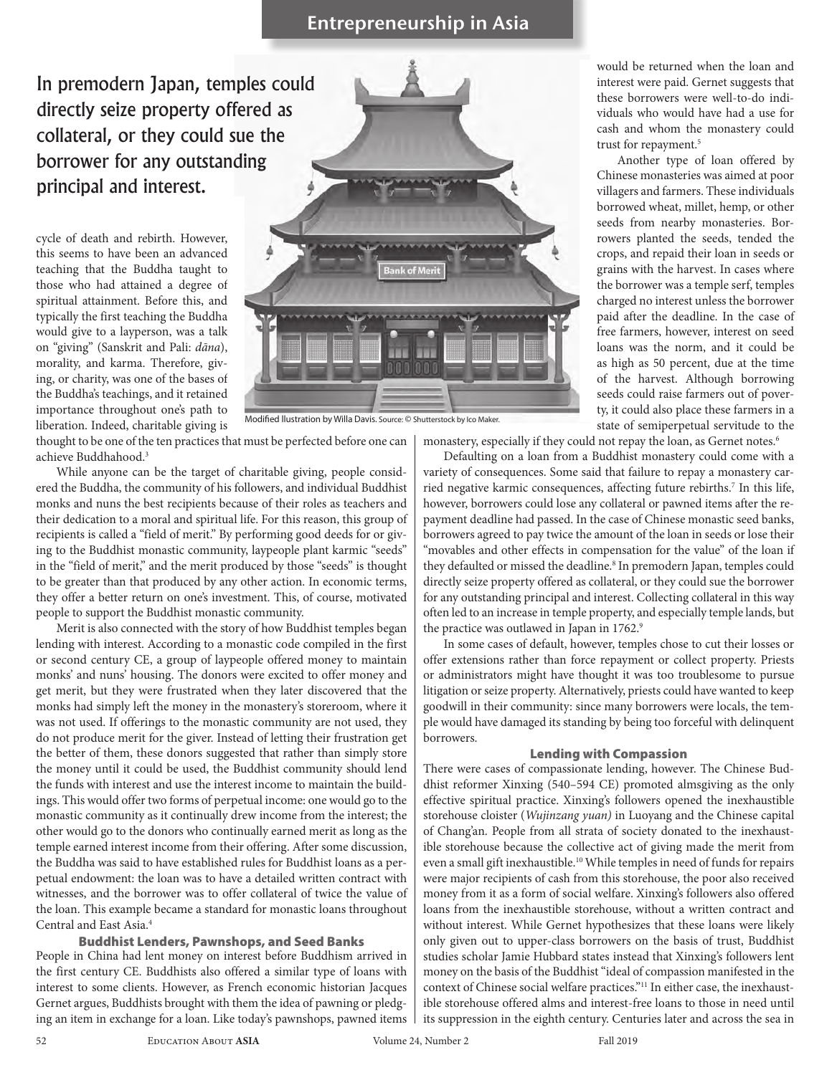### **Entrepreneurship in Asia**

In premodern Japan, temples could directly seize property offered as collateral, or they could sue the borrower for any outstanding principal and interest.

cycle of death and rebirth. However, this seems to have been an advanced teaching that the Buddha taught to those who had attained a degree of spiritual attainment. Before this, and typically the first teaching the Buddha would give to a layperson, was a talk on "giving" (Sanskrit and Pali: *dāna*), morality, and karma. Therefore, giving, or charity, was one of the bases of the Buddha's teachings, and it retained importance throughout one's path to liberation. Indeed, charitable giving is



thought to be one of the ten practices that must be perfected before one can achieve Buddhahood.3

While anyone can be the target of charitable giving, people considered the Buddha, the community of his followers, and individual Buddhist monks and nuns the best recipients because of their roles as teachers and their dedication to a moral and spiritual life. For this reason, this group of recipients is called a "field of merit." By performing good deeds for or giving to the Buddhist monastic community, laypeople plant karmic "seeds" in the "field of merit," and the merit produced by those "seeds" is thought to be greater than that produced by any other action. In economic terms, they offer a better return on one's investment. This, of course, motivated people to support the Buddhist monastic community.

Merit is also connected with the story of how Buddhist temples began lending with interest. According to a monastic code compiled in the first or second century CE, a group of laypeople offered money to maintain monks' and nuns' housing. The donors were excited to offer money and get merit, but they were frustrated when they later discovered that the monks had simply left the money in the monastery's storeroom, where it was not used. If offerings to the monastic community are not used, they do not produce merit for the giver. Instead of letting their frustration get the better of them, these donors suggested that rather than simply store the money until it could be used, the Buddhist community should lend the funds with interest and use the interest income to maintain the buildings. This would offer two forms of perpetual income: one would go to the monastic community as it continually drew income from the interest; the other would go to the donors who continually earned merit as long as the temple earned interest income from their offering. After some discussion, the Buddha was said to have established rules for Buddhist loans as a perpetual endowment: the loan was to have a detailed written contract with witnesses, and the borrower was to offer collateral of twice the value of the loan. This example became a standard for monastic loans throughout Central and East Asia.4

#### Buddhist Lenders, Pawnshops, and Seed Banks

People in China had lent money on interest before Buddhism arrived in the first century CE. Buddhists also offered a similar type of loans with interest to some clients. However, as French economic historian Jacques Gernet argues, Buddhists brought with them the idea of pawning or pledging an item in exchange for a loan. Like today's pawnshops, pawned items would be returned when the loan and interest were paid. Gernet suggests that these borrowers were well-to-do individuals who would have had a use for cash and whom the monastery could trust for repayment.<sup>5</sup>

Another type of loan offered by Chinese monasteries was aimed at poor villagers and farmers. These individuals borrowed wheat, millet, hemp, or other seeds from nearby monasteries. Borrowers planted the seeds, tended the crops, and repaid their loan in seeds or grains with the harvest. In cases where the borrower was a temple serf, temples charged no interest unless the borrower paid after the deadline. In the case of free farmers, however, interest on seed loans was the norm, and it could be as high as 50 percent, due at the time of the harvest. Although borrowing seeds could raise farmers out of poverty, it could also place these farmers in a state of semiperpetual servitude to the

monastery, especially if they could not repay the loan, as Gernet notes.<sup>6</sup>

Defaulting on a loan from a Buddhist monastery could come with a variety of consequences. Some said that failure to repay a monastery carried negative karmic consequences, affecting future rebirths.<sup>7</sup> In this life, however, borrowers could lose any collateral or pawned items after the repayment deadline had passed. In the case of Chinese monastic seed banks, borrowers agreed to pay twice the amount of the loan in seeds or lose their "movables and other effects in compensation for the value" of the loan if they defaulted or missed the deadline.<sup>8</sup> In premodern Japan, temples could directly seize property offered as collateral, or they could sue the borrower for any outstanding principal and interest. Collecting collateral in this way often led to an increase in temple property, and especially temple lands, but the practice was outlawed in Japan in 1762.9

In some cases of default, however, temples chose to cut their losses or offer extensions rather than force repayment or collect property. Priests or administrators might have thought it was too troublesome to pursue litigation or seize property. Alternatively, priests could have wanted to keep goodwill in their community: since many borrowers were locals, the temple would have damaged its standing by being too forceful with delinquent borrowers.

#### Lending with Compassion

There were cases of compassionate lending, however. The Chinese Buddhist reformer Xinxing (540–594 CE) promoted almsgiving as the only effective spiritual practice. Xinxing's followers opened the inexhaustible storehouse cloister (*Wujinzang yuan)* in Luoyang and the Chinese capital of Chang'an. People from all strata of society donated to the inexhaustible storehouse because the collective act of giving made the merit from even a small gift inexhaustible.<sup>10</sup> While temples in need of funds for repairs were major recipients of cash from this storehouse, the poor also received money from it as a form of social welfare. Xinxing's followers also offered loans from the inexhaustible storehouse, without a written contract and without interest. While Gernet hypothesizes that these loans were likely only given out to upper-class borrowers on the basis of trust, Buddhist studies scholar Jamie Hubbard states instead that Xinxing's followers lent money on the basis of the Buddhist "ideal of compassion manifested in the context of Chinese social welfare practices."11 In either case, the inexhaustible storehouse offered alms and interest-free loans to those in need until its suppression in the eighth century. Centuries later and across the sea in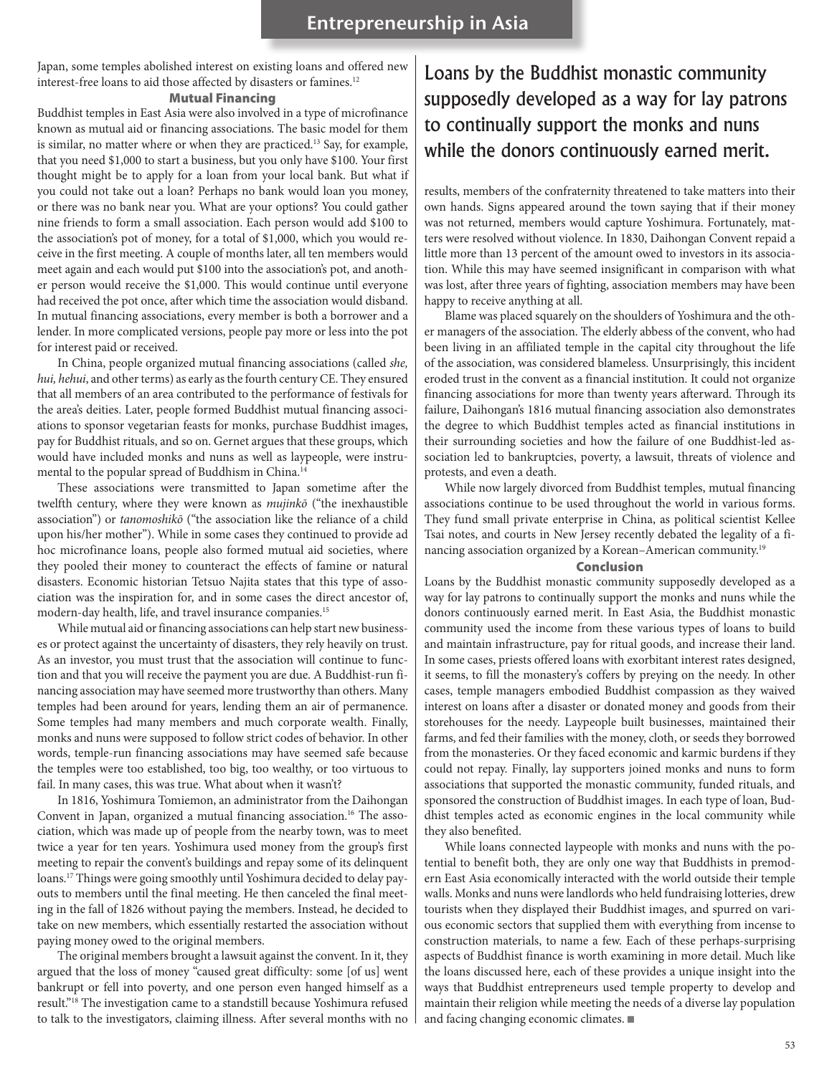Japan, some temples abolished interest on existing loans and offered new interest-free loans to aid those affected by disasters or famines.12

#### Mutual Financing

Buddhist temples in East Asia were also involved in a type of microfinance known as mutual aid or financing associations. The basic model for them is similar, no matter where or when they are practiced.13 Say, for example, that you need \$1,000 to start a business, but you only have \$100. Your first thought might be to apply for a loan from your local bank. But what if you could not take out a loan? Perhaps no bank would loan you money, or there was no bank near you. What are your options? You could gather nine friends to form a small association. Each person would add \$100 to the association's pot of money, for a total of \$1,000, which you would receive in the first meeting. A couple of months later, all ten members would meet again and each would put \$100 into the association's pot, and another person would receive the \$1,000. This would continue until everyone had received the pot once, after which time the association would disband. In mutual financing associations, every member is both a borrower and a lender. In more complicated versions, people pay more or less into the pot for interest paid or received.

In China, people organized mutual financing associations (called *she, hui, hehui*, and other terms) as early as the fourth century CE. They ensured that all members of an area contributed to the performance of festivals for the area's deities. Later, people formed Buddhist mutual financing associations to sponsor vegetarian feasts for monks, purchase Buddhist images, pay for Buddhist rituals, and so on. Gernet argues that these groups, which would have included monks and nuns as well as laypeople, were instrumental to the popular spread of Buddhism in China.14

These associations were transmitted to Japan sometime after the twelfth century, where they were known as *mujinkō* ("the inexhaustible association") or *tanomoshikō* ("the association like the reliance of a child upon his/her mother"). While in some cases they continued to provide ad hoc microfinance loans, people also formed mutual aid societies, where they pooled their money to counteract the effects of famine or natural disasters. Economic historian Tetsuo Najita states that this type of association was the inspiration for, and in some cases the direct ancestor of, modern-day health, life, and travel insurance companies.15

While mutual aid or financing associations can help start new businesses or protect against the uncertainty of disasters, they rely heavily on trust. As an investor, you must trust that the association will continue to function and that you will receive the payment you are due. A Buddhist-run financing association may have seemed more trustworthy than others. Many temples had been around for years, lending them an air of permanence. Some temples had many members and much corporate wealth. Finally, monks and nuns were supposed to follow strict codes of behavior. In other words, temple-run financing associations may have seemed safe because the temples were too established, too big, too wealthy, or too virtuous to fail. In many cases, this was true. What about when it wasn't?

In 1816, Yoshimura Tomiemon, an administrator from the Daihongan Convent in Japan, organized a mutual financing association.<sup>16</sup> The association, which was made up of people from the nearby town, was to meet twice a year for ten years. Yoshimura used money from the group's first meeting to repair the convent's buildings and repay some of its delinquent loans.17 Things were going smoothly until Yoshimura decided to delay payouts to members until the final meeting. He then canceled the final meeting in the fall of 1826 without paying the members. Instead, he decided to take on new members, which essentially restarted the association without paying money owed to the original members.

The original members brought a lawsuit against the convent. In it, they argued that the loss of money "caused great difficulty: some [of us] went bankrupt or fell into poverty, and one person even hanged himself as a result."18 The investigation came to a standstill because Yoshimura refused to talk to the investigators, claiming illness. After several months with no

### Loans by the Buddhist monastic community supposedly developed as a way for lay patrons to continually support the monks and nuns while the donors continuously earned merit.

results, members of the confraternity threatened to take matters into their own hands. Signs appeared around the town saying that if their money was not returned, members would capture Yoshimura. Fortunately, matters were resolved without violence. In 1830, Daihongan Convent repaid a little more than 13 percent of the amount owed to investors in its association. While this may have seemed insignificant in comparison with what was lost, after three years of fighting, association members may have been happy to receive anything at all.

Blame was placed squarely on the shoulders of Yoshimura and the other managers of the association. The elderly abbess of the convent, who had been living in an affiliated temple in the capital city throughout the life of the association, was considered blameless. Unsurprisingly, this incident eroded trust in the convent as a financial institution. It could not organize financing associations for more than twenty years afterward. Through its failure, Daihongan's 1816 mutual financing association also demonstrates the degree to which Buddhist temples acted as financial institutions in their surrounding societies and how the failure of one Buddhist-led association led to bankruptcies, poverty, a lawsuit, threats of violence and protests, and even a death.

While now largely divorced from Buddhist temples, mutual financing associations continue to be used throughout the world in various forms. They fund small private enterprise in China, as political scientist Kellee Tsai notes, and courts in New Jersey recently debated the legality of a financing association organized by a Korean–American community.19

#### Conclusion

Loans by the Buddhist monastic community supposedly developed as a way for lay patrons to continually support the monks and nuns while the donors continuously earned merit. In East Asia, the Buddhist monastic community used the income from these various types of loans to build and maintain infrastructure, pay for ritual goods, and increase their land. In some cases, priests offered loans with exorbitant interest rates designed, it seems, to fill the monastery's coffers by preying on the needy. In other cases, temple managers embodied Buddhist compassion as they waived interest on loans after a disaster or donated money and goods from their storehouses for the needy. Laypeople built businesses, maintained their farms, and fed their families with the money, cloth, or seeds they borrowed from the monasteries. Or they faced economic and karmic burdens if they could not repay. Finally, lay supporters joined monks and nuns to form associations that supported the monastic community, funded rituals, and sponsored the construction of Buddhist images. In each type of loan, Buddhist temples acted as economic engines in the local community while they also benefited.

While loans connected laypeople with monks and nuns with the potential to benefit both, they are only one way that Buddhists in premodern East Asia economically interacted with the world outside their temple walls. Monks and nuns were landlords who held fundraising lotteries, drew tourists when they displayed their Buddhist images, and spurred on various economic sectors that supplied them with everything from incense to construction materials, to name a few. Each of these perhaps-surprising aspects of Buddhist finance is worth examining in more detail. Much like the loans discussed here, each of these provides a unique insight into the ways that Buddhist entrepreneurs used temple property to develop and maintain their religion while meeting the needs of a diverse lay population and facing changing economic climates.